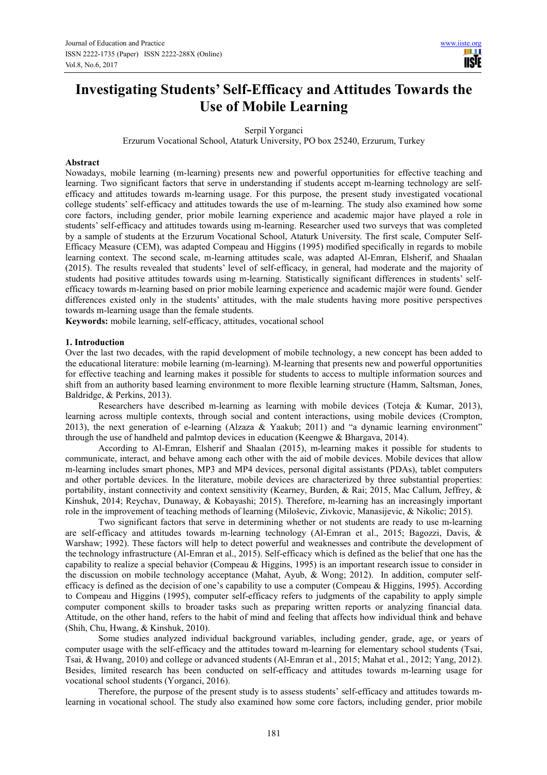# **Investigating Students' Self-Efficacy and Attitudes Towards the Use of Mobile Learning**

Serpil Yorganci

Erzurum Vocational School, Ataturk University, PO box 25240, Erzurum, Turkey

# **Abstract**

Nowadays, mobile learning (m-learning) presents new and powerful opportunities for effective teaching and learning. Two significant factors that serve in understanding if students accept m-learning technology are selfefficacy and attitudes towards m-learning usage. For this purpose, the present study investigated vocational college students' self-efficacy and attitudes towards the use of m-learning. The study also examined how some core factors, including gender, prior mobile learning experience and academic major have played a role in students' self-efficacy and attitudes towards using m-learning. Researcher used two surveys that was completed by a sample of students at the Erzurum Vocational School, Ataturk University. The first scale, Computer Self-Efficacy Measure (CEM), was adapted Compeau and Higgins (1995) modified specifically in regards to mobile learning context. The second scale, m-learning attitudes scale, was adapted Al-Emran, Elsherif, and Shaalan (2015). The results revealed that students' level of self-efficacy, in general, had moderate and the majority of students had positive attitudes towards using m-learning. Statistically significant differences in students' selfefficacy towards m-learning based on prior mobile learning experience and academic majör were found. Gender differences existed only in the students' attitudes, with the male students having more positive perspectives towards m-learning usage than the female students.

**Keywords:** mobile learning, self-efficacy, attitudes, vocational school

#### **1. Introduction**

Over the last two decades, with the rapid development of mobile technology, a new concept has been added to the educational literature: mobile learning (m-learning). M-learning that presents new and powerful opportunities for effective teaching and learning makes it possible for students to access to multiple information sources and shift from an authority based learning environment to more flexible learning structure (Hamm, Saltsman, Jones, Baldridge, & Perkins, 2013).

Researchers have described m-learning as learning with mobile devices (Toteja & Kumar, 2013), learning across multiple contexts, through social and content interactions, using mobile devices (Crompton, 2013), the next generation of e-learning (Alzaza & Yaakub; 2011) and "a dynamic learning environment" through the use of handheld and palmtop devices in education (Keengwe & Bhargava, 2014).

According to Al-Emran, Elsherif and Shaalan (2015), m-learning makes it possible for students to communicate, interact, and behave among each other with the aid of mobile devices. Mobile devices that allow m-learning includes smart phones, MP3 and MP4 devices, personal digital assistants (PDAs), tablet computers and other portable devices. In the literature, mobile devices are characterized by three substantial properties: portability, instant connectivity and context sensitivity (Kearney, Burden, & Rai; 2015, Mac Callum, Jeffrey, & Kinshuk, 2014; Reychav, Dunaway, & Kobayashi; 2015). Therefore, m-learning has an increasingly important role in the improvement of teaching methods of learning (Miloševic, Zivkovic, Manasijevic, & Nikolic; 2015).

Two significant factors that serve in determining whether or not students are ready to use m-learning are self-efficacy and attitudes towards m-learning technology (Al-Emran et al., 2015; Bagozzi, Davis, & Warshaw; 1992). These factors will help to detect powerful and weaknesses and contribute the development of the technology infrastructure (Al-Emran et al., 2015). Self-efficacy which is defined as the belief that one has the capability to realize a special behavior (Compeau & Higgins, 1995) is an important research issue to consider in the discussion on mobile technology acceptance (Mahat, Ayub, & Wong; 2012). In addition, computer selfefficacy is defined as the decision of one's capability to use a computer (Compeau & Higgins, 1995). According to Compeau and Higgins (1995), computer self-efficacy refers to judgments of the capability to apply simple computer component skills to broader tasks such as preparing written reports or analyzing financial data. Attitude, on the other hand, refers to the habit of mind and feeling that affects how individual think and behave (Shih, Chu, Hwang, & Kinshuk, 2010).

Some studies analyzed individual background variables, including gender, grade, age, or years of computer usage with the self-efficacy and the attitudes toward m-learning for elementary school students (Tsai, Tsai, & Hwang, 2010) and college or advanced students (Al-Emran et al., 2015; Mahat et al., 2012; Yang, 2012). Besides, limited research has been conducted on self-efficacy and attitudes towards m-learning usage for vocational school students (Yorganci, 2016).

Therefore, the purpose of the present study is to assess students' self-efficacy and attitudes towards mlearning in vocational school. The study also examined how some core factors, including gender, prior mobile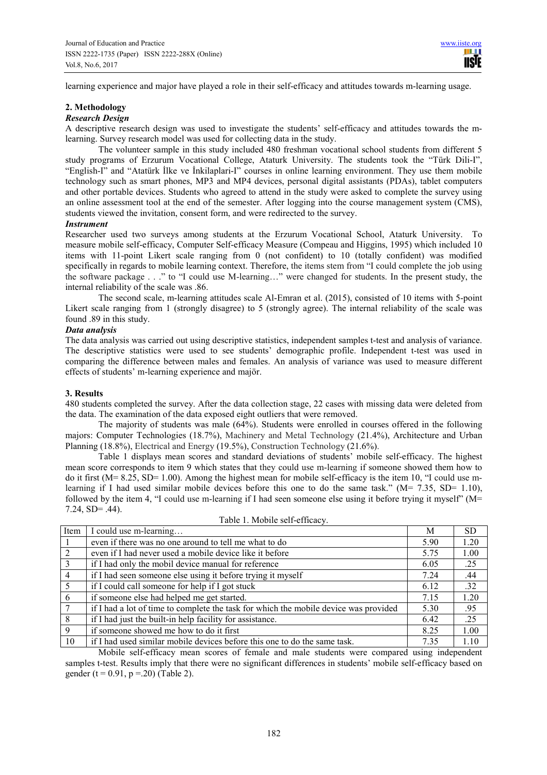learning experience and major have played a role in their self-efficacy and attitudes towards m-learning usage.

# **2. Methodology**

# *Research Design*

A descriptive research design was used to investigate the students' self-efficacy and attitudes towards the mlearning. Survey research model was used for collecting data in the study.

The volunteer sample in this study included 480 freshman vocational school students from different 5 study programs of Erzurum Vocational College, Ataturk University. The students took the "Türk Dili-I", "English-I" and "Atatürk İlke ve İnkilaplari-I" courses in online learning environment. They use them mobile technology such as smart phones, MP3 and MP4 devices, personal digital assistants (PDAs), tablet computers and other portable devices. Students who agreed to attend in the study were asked to complete the survey using an online assessment tool at the end of the semester. After logging into the course management system (CMS), students viewed the invitation, consent form, and were redirected to the survey.

#### *Instrument*

Researcher used two surveys among students at the Erzurum Vocational School, Ataturk University. To measure mobile self-efficacy, Computer Self-efficacy Measure (Compeau and Higgins, 1995) which included 10 items with 11-point Likert scale ranging from 0 (not confident) to 10 (totally confident) was modified specifically in regards to mobile learning context. Therefore, the items stem from "I could complete the job using the software package . . ." to "I could use M-learning…" were changed for students. In the present study, the internal reliability of the scale was .86.

The second scale, m-learning attitudes scale Al-Emran et al. (2015), consisted of 10 items with 5-point Likert scale ranging from 1 (strongly disagree) to 5 (strongly agree). The internal reliability of the scale was found .89 in this study.

#### *Data analysis*

The data analysis was carried out using descriptive statistics, independent samples t-test and analysis of variance. The descriptive statistics were used to see students' demographic profile. Independent t-test was used in comparing the difference between males and females. An analysis of variance was used to measure different effects of students' m-learning experience and majör.

#### **3. Results**

480 students completed the survey. After the data collection stage, 22 cases with missing data were deleted from the data. The examination of the data exposed eight outliers that were removed.

The majority of students was male (64%). Students were enrolled in courses offered in the following majors: Computer Technologies (18.7%), Machinery and Metal Technology (21.4%), Architecture and Urban Planning (18.8%), Electrical and Energy (19.5%), Construction Technology (21.6%).

Table 1 displays mean scores and standard deviations of students' mobile self-efficacy. The highest mean score corresponds to item 9 which states that they could use m-learning if someone showed them how to do it first (M= 8.25, SD= 1.00). Among the highest mean for mobile self-efficacy is the item 10, "I could use mlearning if I had used similar mobile devices before this one to do the same task."  $(M= 7.35, SD= 1.10)$ , followed by the item 4, "I could use m-learning if I had seen someone else using it before trying it myself"  $(M=$ 7.24, SD= .44).

| Item            | I could use m-learning                                                               | M    | <b>SD</b> |
|-----------------|--------------------------------------------------------------------------------------|------|-----------|
|                 | even if there was no one around to tell me what to do                                | 5.90 | 1.20      |
| 2               | even if I had never used a mobile device like it before                              | 5.75 | 1.00      |
| -3              | if I had only the mobil device manual for reference                                  | 6.05 | .25       |
| $\overline{4}$  | if I had seen someone else using it before trying it myself                          | 7.24 | .44       |
| - 5             | if I could call someone for help if I got stuck                                      | 6.12 | .32       |
| 6               | if someone else had helped me get started.                                           | 7.15 | 1.20      |
| $7\phantom{.0}$ | if I had a lot of time to complete the task for which the mobile device was provided | 5.30 | .95       |
| -8              | if I had just the built-in help facility for assistance.                             | 6.42 | .25       |
| 9               | if someone showed me how to do it first                                              | 8.25 | 1.00      |
| 10              | if I had used similar mobile devices before this one to do the same task.            | 7.35 | 1.10      |

Table 1. Mobile self-efficacy.

Mobile self-efficacy mean scores of female and male students were compared using independent samples t-test. Results imply that there were no significant differences in students' mobile self-efficacy based on gender (t =  $0.91$ , p =  $20$ ) (Table 2).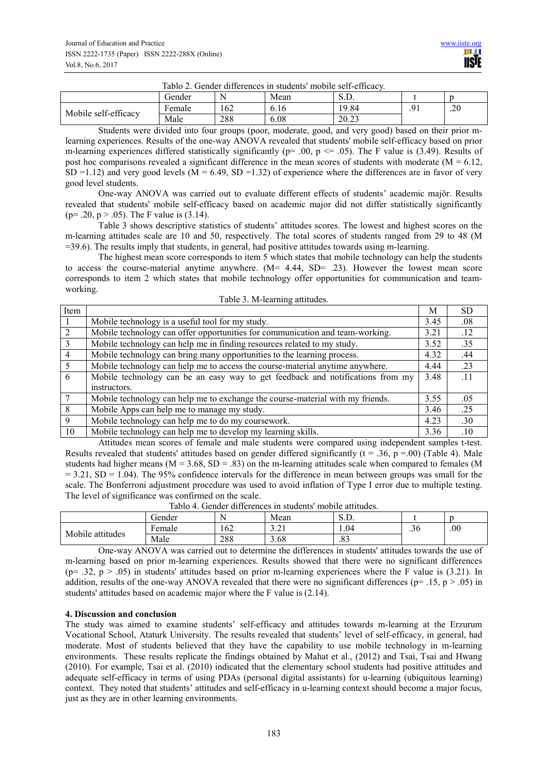| Tablo 2. Gender differences in students' mobile self-efficacy. |  |  |  |
|----------------------------------------------------------------|--|--|--|
|----------------------------------------------------------------|--|--|--|

| .<br>.<br>.<br>.     |              |                     |      |       |                     |     |  |
|----------------------|--------------|---------------------|------|-------|---------------------|-----|--|
|                      | Gender       | M<br>$\overline{ }$ | Mean | υ.D.  |                     |     |  |
| Mobile self-efficacy | T.<br>Female | .62                 | 0.10 | 19.84 | $^{\circ}$<br>. . 1 | .20 |  |
|                      | Male         | 288                 | 6.08 | 20.23 |                     |     |  |

Students were divided into four groups (poor, moderate, good, and very good) based on their prior mlearning experiences. Results of the one-way ANOVA revealed that students' mobile self-efficacy based on prior m-learning experiences differed statistically significantly ( $p=$  .00,  $p \le 0.05$ ). The F value is (3.49). Results of post hoc comparisons revealed a significant difference in the mean scores of students with moderate ( $M = 6.12$ ,  $SD = 1.12$ ) and very good levels ( $M = 6.49$ ,  $SD = 1.32$ ) of experience where the differences are in favor of very good level students.

One-way ANOVA was carried out to evaluate different effects of students' academic majör. Results revealed that students' mobile self-efficacy based on academic major did not differ statistically significantly  $(p= .20, p> .05)$ . The F value is  $(3.14)$ .

Table 3 shows descriptive statistics of students' attitudes scores. The lowest and highest scores on the m-learning attitudes scale are 10 and 50, respectively. The total scores of students ranged from 29 to 48 (M =39.6). The results imply that students, in general, had positive attitudes towards using m-learning.

The highest mean score corresponds to item 5 which states that mobile technology can help the students to access the course-material anytime anywhere. (M= 4.44, SD= .23). However the lowest mean score corresponds to item 2 which states that mobile technology offer opportunities for communication and teamworking.

| Item           |                                                                                | M    | <b>SD</b> |
|----------------|--------------------------------------------------------------------------------|------|-----------|
|                | Mobile technology is a useful tool for my study.                               | 3.45 | .08       |
|                | Mobile technology can offer opportunities for communication and team-working.  | 3.21 | .12       |
|                | Mobile technology can help me in finding resources related to my study.        | 3.52 | .35       |
| $\overline{4}$ | Mobile technology can bring many opportunities to the learning process.        | 4.32 | .44       |
|                | Mobile technology can help me to access the course-material anytime anywhere.  | 4.44 | .23       |
| 6              | Mobile technology can be an easy way to get feedback and notifications from my | 3.48 | -11       |
|                | instructors.                                                                   |      |           |
|                | Mobile technology can help me to exchange the course-material with my friends. | 3.55 | .05       |
| 8              | Mobile Apps can help me to manage my study.                                    | 3.46 | .25       |
| 9              | Mobile technology can help me to do my coursework.                             | 4.23 | .30       |
| 10             | Mobile technology can help me to develop my learning skills.                   | 3.36 | .10       |

Attitudes mean scores of female and male students were compared using independent samples t-test. Results revealed that students' attitudes based on gender differed significantly ( $t = .36$ ,  $p = .00$ ) (Table 4). Male students had higher means ( $M = 3.68$ ,  $SD = .83$ ) on the m-learning attitudes scale when compared to females (M  $= 3.21$ , SD = 1.04). The 95% confidence intervals for the difference in mean between groups was small for the scale. The Bonferroni adjustment procedure was used to avoid inflation of Type I error due to multiple testing. The level of significance was confirmed on the scale.

| Tablo T. Ochuci umicrences in students mobile attitudes. |        |     |                             |          |               |     |  |
|----------------------------------------------------------|--------|-----|-----------------------------|----------|---------------|-----|--|
|                                                          | Gender |     | Mean                        | ◡.◡.     |               |     |  |
| Mobile attitudes                                         | Female | 62  | $\sim$<br>$\cup$ . $\sim$ 1 | . 04     | $\sim$<br>.36 | .00 |  |
|                                                          | Male   | 288 | .68                         | റി<br>.٥ |               |     |  |

Tablo 4. Gender differences in students' mobile attitudes.

One-way ANOVA was carried out to determine the differences in students' attitudes towards the use of m-learning based on prior m-learning experiences. Results showed that there were no significant differences (p= .32, p > .05) in students' attitudes based on prior m-learning experiences where the F value is (3.21). In addition, results of the one-way ANOVA revealed that there were no significant differences ( $p= .15$ ,  $p> .05$ ) in students' attitudes based on academic major where the F value is (2.14).

# **4. Discussion and conclusion**

The study was aimed to examine students' self-efficacy and attitudes towards m-learning at the Erzurum Vocational School, Ataturk University. The results revealed that students' level of self-efficacy, in general, had moderate. Most of students believed that they have the capability to use mobile technology in m-learning environments. These results replicate the findings obtained by Mahat et al., (2012) and Tsai, Tsai and Hwang (2010). For example, Tsai et al. (2010) indicated that the elementary school students had positive attitudes and adequate self-efficacy in terms of using PDAs (personal digital assistants) for u-learning (ubiquitous learning) context. They noted that students' attitudes and self-efficacy in u-learning context should become a major focus, just as they are in other learning environments.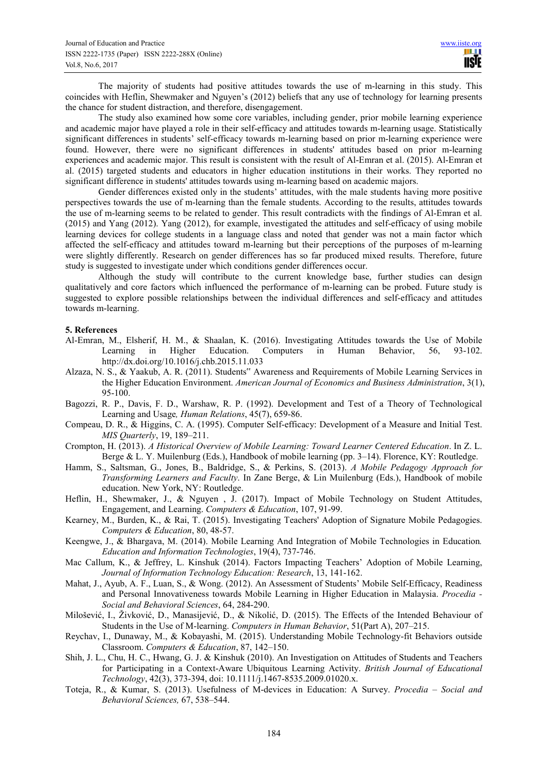The majority of students had positive attitudes towards the use of m-learning in this study. This coincides with Heflin, Shewmaker and Nguyen's (2012) beliefs that any use of technology for learning presents the chance for student distraction, and therefore, disengagement.

The study also examined how some core variables, including gender, prior mobile learning experience and academic major have played a role in their self-efficacy and attitudes towards m-learning usage. Statistically significant differences in students' self-efficacy towards m-learning based on prior m-learning experience were found. However, there were no significant differences in students' attitudes based on prior m-learning experiences and academic major. This result is consistent with the result of Al-Emran et al. (2015). Al-Emran et al. (2015) targeted students and educators in higher education institutions in their works. They reported no significant difference in students' attitudes towards using m-learning based on academic majors.

Gender differences existed only in the students' attitudes, with the male students having more positive perspectives towards the use of m-learning than the female students. According to the results, attitudes towards the use of m-learning seems to be related to gender. This result contradicts with the findings of Al-Emran et al. (2015) and Yang (2012). Yang (2012), for example, investigated the attitudes and self-efficacy of using mobile learning devices for college students in a language class and noted that gender was not a main factor which affected the self-efficacy and attitudes toward m-learning but their perceptions of the purposes of m-learning were slightly differently. Research on gender differences has so far produced mixed results. Therefore, future study is suggested to investigate under which conditions gender differences occur.

Although the study will contribute to the current knowledge base, further studies can design qualitatively and core factors which influenced the performance of m-learning can be probed. Future study is suggested to explore possible relationships between the individual differences and self-efficacy and attitudes towards m-learning.

# **5. References**

- Al-Emran, M., Elsherif, H. M., & Shaalan, K. (2016). Investigating Attitudes towards the Use of Mobile Learning in Higher Education. Computers in Human Behavior, 56, 93-102. http://dx.doi.org/10.1016/j.chb.2015.11.033
- Alzaza, N. S., & Yaakub, A. R. (2011). Students" Awareness and Requirements of Mobile Learning Services in the Higher Education Environment. *American Journal of Economics and Business Administration*, 3(1), 95-100.
- Bagozzi, R. P., Davis, F. D., Warshaw, R. P. (1992). Development and Test of a Theory of Technological Learning and Usage*, Human Relations*, 45(7), 659-86.
- Compeau, D. R., & Higgins, C. A. (1995). Computer Self-efficacy: Development of a Measure and Initial Test. *MIS Quarterly*, 19, 189–211.
- Crompton, H. (2013). *A Historical Overview of Mobile Learning: Toward Learner Centered Education*. In Z. L. Berge & L. Y. Muilenburg (Eds.), Handbook of mobile learning (pp. 3–14). Florence, KY: Routledge.
- Hamm, S., Saltsman, G., Jones, B., Baldridge, S., & Perkins, S. (2013). *A Mobile Pedagogy Approach for Transforming Learners and Faculty*. In Zane Berge, & Lin Muilenburg (Eds.), Handbook of mobile education. New York, NY: Routledge.
- Heflin, H., Shewmaker, J., & Nguyen , J. (2017). Impact of Mobile Technology on Student Attitudes, Engagement, and Learning. *Computers & Education*, 107, 91-99.
- Kearney, M., Burden, K., & Rai, T. (2015). Investigating Teachers' Adoption of Signature Mobile Pedagogies. *Computers & Education*, 80, 48-57.
- Keengwe, J., & Bhargava, M. (2014). Mobile Learning And Integration of Mobile Technologies in Education*. Education and Information Technologies*, 19(4), 737-746.
- Mac Callum, K., & Jeffrey, L. Kinshuk (2014). Factors Impacting Teachers' Adoption of Mobile Learning, *Journal of Information Technology Education: Research*, 13, 141-162.
- Mahat, J., Ayub, A. F., Luan, S., & Wong. (2012). An Assessment of Students' Mobile Self-Efficacy, Readiness and Personal Innovativeness towards Mobile Learning in Higher Education in Malaysia. *Procedia - Social and Behavioral Sciences*, 64, 284-290.
- Milošević, I., Živković, D., Manasijević, D., & Nikolić, D. (2015). The Effects of the Intended Behaviour of Students in the Use of M-learning. *Computers in Human Behavior*, 51(Part A), 207–215.
- Reychav, I., Dunaway, M., & Kobayashi, M. (2015). Understanding Mobile Technology-fit Behaviors outside Classroom. *Computers & Education*, 87, 142–150.
- Shih, J. L., Chu, H. C., Hwang, G. J. & Kinshuk (2010). An Investigation on Attitudes of Students and Teachers for Participating in a Context-Aware Ubiquitous Learning Activity. *British Journal of Educational Technology*, 42(3), 373-394, doi: 10.1111/j.1467-8535.2009.01020.x.
- Toteja, R., & Kumar, S. (2013). Usefulness of M-devices in Education: A Survey. *Procedia Social and Behavioral Sciences,* 67, 538–544.